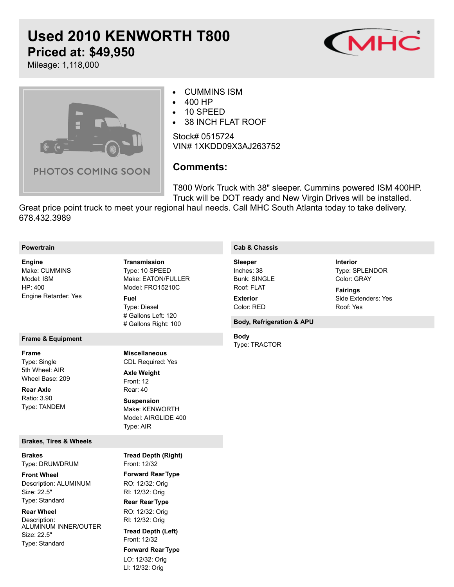# **Used 2010 KENWORTH T800 Priced at: \$49,950**



Mileage: 1,118,000



#### CUMMINS ISM  $\bullet$

- 400 HP  $\bullet$
- 10 SPEED  $\bullet$
- 38 INCH FLAT ROOF  $\bullet$

Stock# 0515724 VIN# 1XKDD09X3AJ263752

## **Comments:**

T800 Work Truck with 38" sleeper. Cummins powered ISM 400HP. Truck will be DOT ready and New Virgin Drives will be installed.

Great price point truck to meet your regional haul needs. Call MHC South Atlanta today to take delivery. 678.432.3989

| <b>Powertrain</b> |
|-------------------|
|                   |

#### Make: CUMMINS Model: ISM HP: 400 Engine Retarder: Yes **Engine**

#### **Frame & Equipment**

**Frame**

Type: Single 5th Wheel: AIR Wheel Base: 209

**Rear Axle**

Ratio: 3.90 Type: TANDEM

#### **Brakes, Tires & Wheels**

Type: DRUM/DRUM **Brakes**

Description: ALUMINUM Size: 22.5" Type: Standard **Front Wheel**

**Rear Wheel**

Description: ALUMINUM INNER/OUTER Size: 22.5" Type: Standard

Type: 10 SPEED Make: EATON/FULLER Model: FRO15210C Type: Diesel # Gallons Left: 120 **Transmission Fuel**

# Gallons Right: 100

CDL Required: Yes **Miscellaneous**

Front: 12 Rear: 40 **Axle Weight Suspension**

#### Make: KENWORTH Model: AIRGLIDE 400 Type: AIR

Front: 12/32 **Forward RearType** RO: 12/32: Orig RI: 12/32: Orig **Rear RearType** RO: 12/32: Orig RI: 12/32: Orig Front: 12/32 **Forward RearType** LO: 12/32: Orig LI: 12/32: Orig **Tread Depth (Right) Tread Depth (Left)**

### **Cab & Chassis**

Inches: 38 Bunk: SINGLE Roof: FLAT **Sleeper Exterior**

Color: RED

### **Body, Refrigeration & APU**

Type: TRACTOR **Body**

Type: SPLENDOR Color: GRAY **Interior**

Side Extenders: Yes Roof: Yes **Fairings**